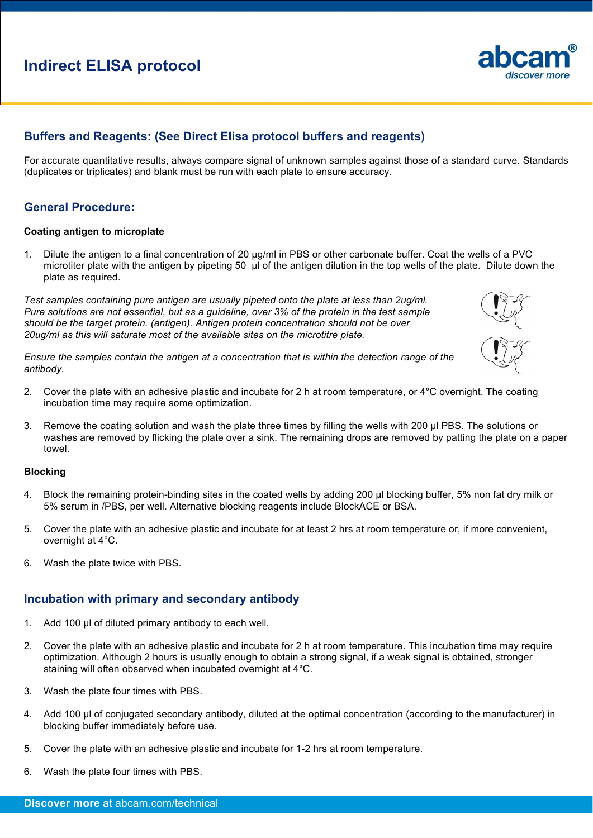# **Indirect ELISA protocol**

# **Buffers and Reagents: (See Direct Elisa protocol buffers and reagents)**

For accurate quantitative results, always compare signal of unknown samples against those of a standard curve. Standards (duplicates or triplicates) and blank must be run with each plate to ensure accuracy.

# **General Procedure:**

## **Coating antigen to microplate**

1. Dilute the antigen to a final concentration of 20 µg/ml in PBS or other carbonate buffer. Coat the wells of a PVC microtiter plate with the antigen by pipeting 50 µl of the antigen dilution in the top wells of the plate. Dilute down the plate as required.

*Test samples containing pure antigen are usually pipeted onto the plate at less than 2ug/ml. Pure solutions are not essential, but as a guideline, over 3% of the protein in the test sample should be the target protein. (antigen). Antigen protein concentration should not be over 20ug/ml as this will saturate most of the available sites on the microtitre plate.* 

*Ensure the samples contain the antigen at a concentration that is within the detection range of the antibody.* 

- 2. Cover the plate with an adhesive plastic and incubate for 2 h at room temperature, or 4°C overnight. The coating incubation time may require some optimization.
- 3. Remove the coating solution and wash the plate three times by filling the wells with 200 µl PBS. The solutions or washes are removed by flicking the plate over a sink. The remaining drops are removed by patting the plate on a paper towel.

## **Blocking**

- 4. Block the remaining protein-binding sites in the coated wells by adding 200 µl blocking buffer, 5% non fat dry milk or 5% serum in /PBS, per well. Alternative blocking reagents include BlockACE or BSA.
- 5. Cover the plate with an adhesive plastic and incubate for at least 2 hrs at room temperature or, if more convenient, overnight at 4°C.
- 6. Wash the plate twice with PBS.

# **Incubation with primary and secondary antibody**

- 1. Add 100 µl of diluted primary antibody to each well.
- 2. Cover the plate with an adhesive plastic and incubate for 2 h at room temperature. This incubation time may require optimization. Although 2 hours is usually enough to obtain a strong signal, if a weak signal is obtained, stronger staining will often observed when incubated overnight at 4°C.
- 3. Wash the plate four times with PBS.
- 4. Add 100 µl of conjugated secondary antibody, diluted at the optimal concentration (according to the manufacturer) in blocking buffer immediately before use.
- 5. Cover the plate with an adhesive plastic and incubate for 1-2 hrs at room temperature.
- 6. Wash the plate four times with PBS.